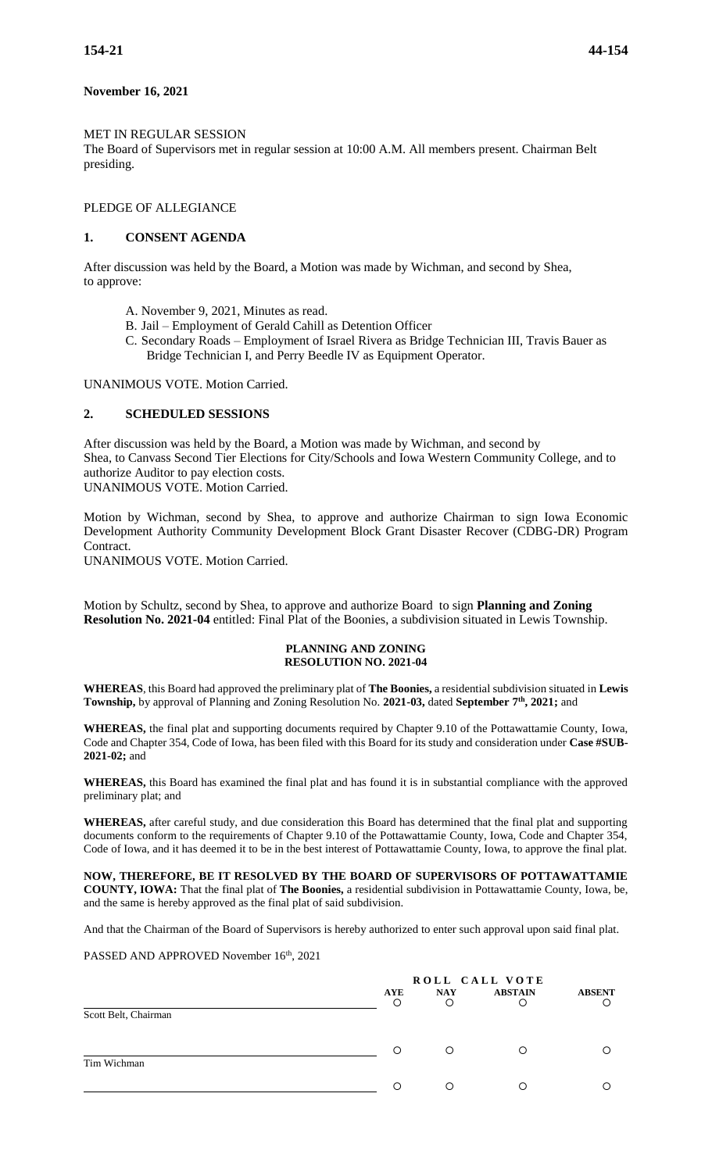# **November 16, 2021**

# MET IN REGULAR SESSION

The Board of Supervisors met in regular session at 10:00 A.M. All members present. Chairman Belt presiding.

# PLEDGE OF ALLEGIANCE

# **1. CONSENT AGENDA**

After discussion was held by the Board, a Motion was made by Wichman, and second by Shea, to approve:

- A. November 9, 2021, Minutes as read.
- B. Jail Employment of Gerald Cahill as Detention Officer
- C. Secondary Roads Employment of Israel Rivera as Bridge Technician III, Travis Bauer as Bridge Technician I, and Perry Beedle IV as Equipment Operator.

UNANIMOUS VOTE. Motion Carried.

## **2. SCHEDULED SESSIONS**

After discussion was held by the Board, a Motion was made by Wichman, and second by Shea, to Canvass Second Tier Elections for City/Schools and Iowa Western Community College, and to authorize Auditor to pay election costs. UNANIMOUS VOTE. Motion Carried.

Motion by Wichman, second by Shea, to approve and authorize Chairman to sign Iowa Economic Development Authority Community Development Block Grant Disaster Recover (CDBG-DR) Program **Contract** 

UNANIMOUS VOTE. Motion Carried.

Motion by Schultz, second by Shea, to approve and authorize Board to sign **Planning and Zoning Resolution No. 2021-04** entitled: Final Plat of the Boonies, a subdivision situated in Lewis Township.

## **PLANNING AND ZONING RESOLUTION NO. 2021-04**

**WHEREAS**, this Board had approved the preliminary plat of **The Boonies,** a residential subdivision situated in **Lewis Township,** by approval of Planning and Zoning Resolution No. **2021-03,** dated **September 7th, 2021;** and

**WHEREAS,** the final plat and supporting documents required by Chapter 9.10 of the Pottawattamie County, Iowa, Code and Chapter 354, Code of Iowa, has been filed with this Board for its study and consideration under **Case #SUB-2021-02;** and

**WHEREAS,** this Board has examined the final plat and has found it is in substantial compliance with the approved preliminary plat; and

**WHEREAS,** after careful study, and due consideration this Board has determined that the final plat and supporting documents conform to the requirements of Chapter 9.10 of the Pottawattamie County, Iowa, Code and Chapter 354, Code of Iowa, and it has deemed it to be in the best interest of Pottawattamie County, Iowa, to approve the final plat.

**NOW, THEREFORE, BE IT RESOLVED BY THE BOARD OF SUPERVISORS OF POTTAWATTAMIE COUNTY, IOWA:** That the final plat of **The Boonies,** a residential subdivision in Pottawattamie County, Iowa, be, and the same is hereby approved as the final plat of said subdivision.

And that the Chairman of the Board of Supervisors is hereby authorized to enter such approval upon said final plat.

PASSED AND APPROVED November 16<sup>th</sup>, 2021

|                      |                 | ROLL CALL VOTE |                |                    |  |
|----------------------|-----------------|----------------|----------------|--------------------|--|
|                      | <b>AYE</b><br>O | NAY<br>O       | <b>ABSTAIN</b> | <b>ABSENT</b><br>O |  |
| Scott Belt, Chairman |                 |                |                |                    |  |
| Tim Wichman          |                 | O              |                | ( )                |  |
|                      |                 |                |                | Ω                  |  |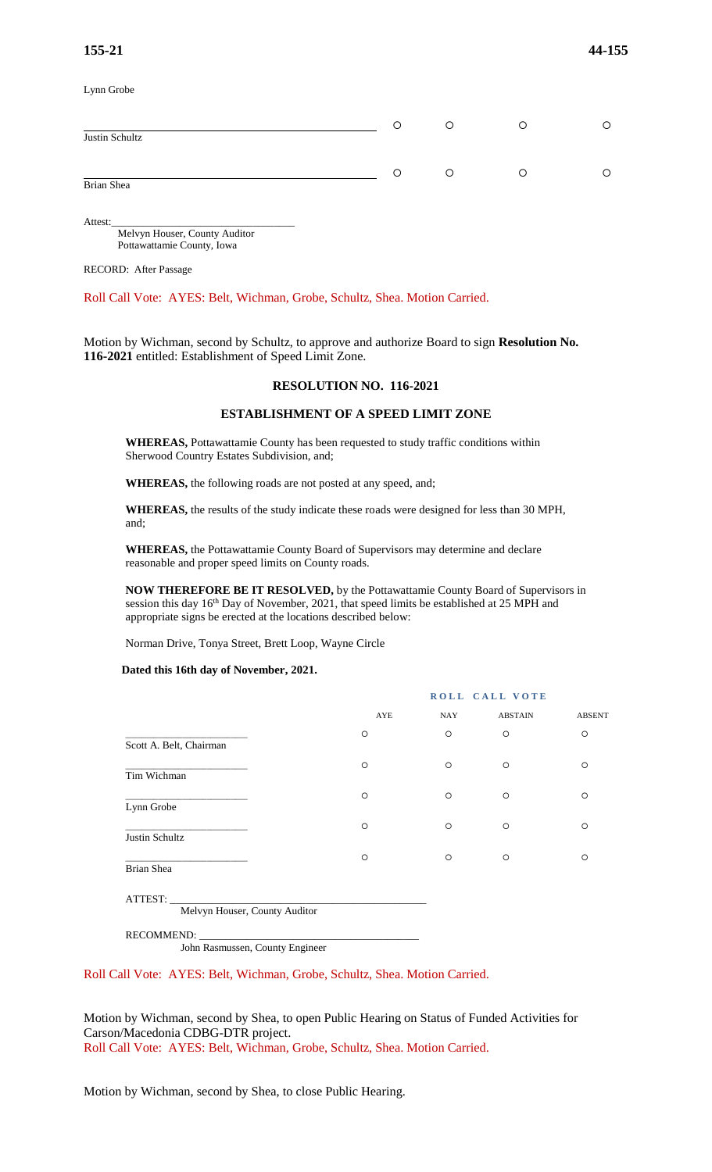| Justin Schultz |  |   |  |
|----------------|--|---|--|
| Brian Shea     |  | ∩ |  |

Attest: Melvyn Houser, County Auditor Pottawattamie County, Iowa

RECORD: After Passage

Roll Call Vote: AYES: Belt, Wichman, Grobe, Schultz, Shea. Motion Carried.

Motion by Wichman, second by Schultz, to approve and authorize Board to sign **Resolution No. 116-2021** entitled: Establishment of Speed Limit Zone.

#### **RESOLUTION NO. 116-2021**

### **ESTABLISHMENT OF A SPEED LIMIT ZONE**

**WHEREAS,** Pottawattamie County has been requested to study traffic conditions within Sherwood Country Estates Subdivision, and;

**WHEREAS,** the following roads are not posted at any speed, and;

**WHEREAS,** the results of the study indicate these roads were designed for less than 30 MPH, and;

**WHEREAS,** the Pottawattamie County Board of Supervisors may determine and declare reasonable and proper speed limits on County roads.

**NOW THEREFORE BE IT RESOLVED,** by the Pottawattamie County Board of Supervisors in session this day 16<sup>th</sup> Day of November, 2021, that speed limits be established at 25 MPH and appropriate signs be erected at the locations described below:

Norman Drive, Tonya Street, Brett Loop, Wayne Circle

#### **Dated this 16th day of November, 2021.**

|                         |         | ROLL CALL VOTE |            |                |               |  |
|-------------------------|---------|----------------|------------|----------------|---------------|--|
|                         |         | AYE            | <b>NAY</b> | <b>ABSTAIN</b> | <b>ABSENT</b> |  |
| Scott A. Belt, Chairman | $\circ$ |                | $\circ$    | $\circ$        | O             |  |
| Tim Wichman             | $\circ$ |                | O          | $\circ$        | $\circ$       |  |
| Lynn Grobe              | $\circ$ |                | $\circ$    | $\circ$        | $\circ$       |  |
| Justin Schultz          | $\circ$ |                | $\circ$    | $\circ$        | $\circ$       |  |
| Brian Shea              | $\circ$ |                | $\circ$    | $\circ$        | $\circ$       |  |
| ATTEST:                 |         |                |            |                |               |  |

Melvyn Houser, County Auditor

RECOMMEND:

John Rasmussen, County Engineer

#### Roll Call Vote: AYES: Belt, Wichman, Grobe, Schultz, Shea. Motion Carried.

Motion by Wichman, second by Shea, to open Public Hearing on Status of Funded Activities for Carson/Macedonia CDBG-DTR project. Roll Call Vote: AYES: Belt, Wichman, Grobe, Schultz, Shea. Motion Carried.

Motion by Wichman, second by Shea, to close Public Hearing.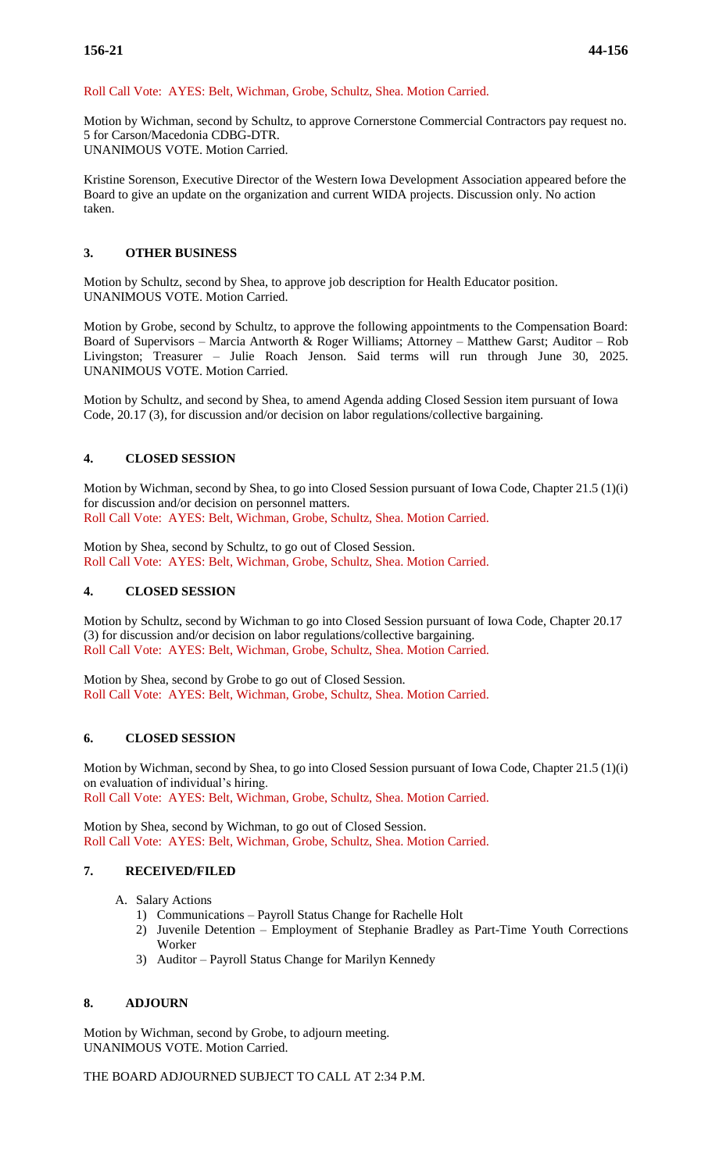## Roll Call Vote: AYES: Belt, Wichman, Grobe, Schultz, Shea. Motion Carried.

Motion by Wichman, second by Schultz, to approve Cornerstone Commercial Contractors pay request no. 5 for Carson/Macedonia CDBG-DTR. UNANIMOUS VOTE. Motion Carried.

Kristine Sorenson, Executive Director of the Western Iowa Development Association appeared before the Board to give an update on the organization and current WIDA projects. Discussion only. No action taken.

# **3. OTHER BUSINESS**

Motion by Schultz, second by Shea, to approve job description for Health Educator position. UNANIMOUS VOTE. Motion Carried.

Motion by Grobe, second by Schultz, to approve the following appointments to the Compensation Board: Board of Supervisors – Marcia Antworth & Roger Williams; Attorney – Matthew Garst; Auditor – Rob Livingston; Treasurer – Julie Roach Jenson. Said terms will run through June 30, 2025. UNANIMOUS VOTE. Motion Carried.

Motion by Schultz, and second by Shea, to amend Agenda adding Closed Session item pursuant of Iowa Code, 20.17 (3), for discussion and/or decision on labor regulations/collective bargaining.

# **4. CLOSED SESSION**

Motion by Wichman, second by Shea, to go into Closed Session pursuant of Iowa Code, Chapter 21.5 (1)(i) for discussion and/or decision on personnel matters. Roll Call Vote: AYES: Belt, Wichman, Grobe, Schultz, Shea. Motion Carried.

Motion by Shea, second by Schultz, to go out of Closed Session. Roll Call Vote: AYES: Belt, Wichman, Grobe, Schultz, Shea. Motion Carried.

# **4. CLOSED SESSION**

Motion by Schultz, second by Wichman to go into Closed Session pursuant of Iowa Code, Chapter 20.17 (3) for discussion and/or decision on labor regulations/collective bargaining. Roll Call Vote: AYES: Belt, Wichman, Grobe, Schultz, Shea. Motion Carried.

Motion by Shea, second by Grobe to go out of Closed Session. Roll Call Vote: AYES: Belt, Wichman, Grobe, Schultz, Shea. Motion Carried.

## **6. CLOSED SESSION**

Motion by Wichman, second by Shea, to go into Closed Session pursuant of Iowa Code, Chapter 21.5 (1)(i) on evaluation of individual's hiring. Roll Call Vote: AYES: Belt, Wichman, Grobe, Schultz, Shea. Motion Carried.

Motion by Shea, second by Wichman, to go out of Closed Session. Roll Call Vote: AYES: Belt, Wichman, Grobe, Schultz, Shea. Motion Carried.

## **7. RECEIVED/FILED**

- A. Salary Actions
	- 1) Communications Payroll Status Change for Rachelle Holt
	- 2) Juvenile Detention Employment of Stephanie Bradley as Part-Time Youth Corrections Worker
	- 3) Auditor Payroll Status Change for Marilyn Kennedy

## **8. ADJOURN**

Motion by Wichman, second by Grobe, to adjourn meeting. UNANIMOUS VOTE. Motion Carried.

THE BOARD ADJOURNED SUBJECT TO CALL AT 2:34 P.M.